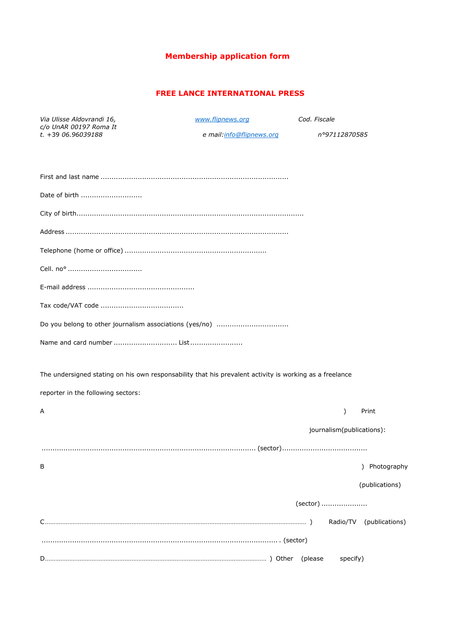# **Membership application form**

## **FREE LANCE INTERNATIONAL PRESS**

| Via Ulisse Aldovrandi 16,                     | www.flipnews.org                                                                                        | Cod. Fiscale              |                         |
|-----------------------------------------------|---------------------------------------------------------------------------------------------------------|---------------------------|-------------------------|
| c/o UnAR 00197 Roma It<br>$t. +3906.96039188$ | e mail: info@flipnews.org                                                                               | n°97112870585             |                         |
|                                               |                                                                                                         |                           |                         |
| Date of birth                                 |                                                                                                         |                           |                         |
|                                               |                                                                                                         |                           |                         |
|                                               |                                                                                                         |                           |                         |
|                                               |                                                                                                         |                           |                         |
|                                               |                                                                                                         |                           |                         |
|                                               |                                                                                                         |                           |                         |
|                                               |                                                                                                         |                           |                         |
|                                               |                                                                                                         |                           |                         |
| Name and card number  List                    |                                                                                                         |                           |                         |
|                                               | The undersigned stating on his own responsability that his prevalent activity is working as a freelance |                           |                         |
| reporter in the following sectors:            |                                                                                                         |                           |                         |
| Α                                             |                                                                                                         | $\mathcal{E}$             | Print                   |
|                                               |                                                                                                         | journalism(publications): |                         |
|                                               |                                                                                                         |                           |                         |
| В                                             |                                                                                                         |                           | ) Photography           |
|                                               |                                                                                                         |                           | (publications)          |
|                                               |                                                                                                         | (sector)                  |                         |
|                                               |                                                                                                         |                           | Radio/TV (publications) |
|                                               |                                                                                                         |                           |                         |
|                                               |                                                                                                         | specify)                  |                         |